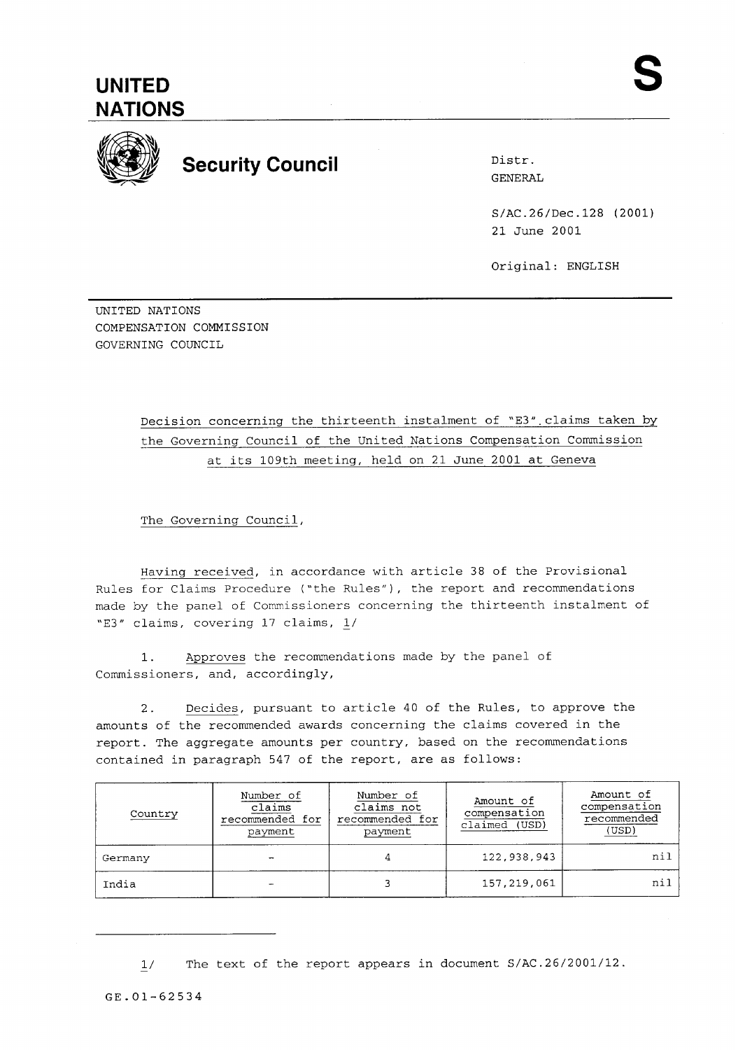

**Security Council Distress Security Council** 

GENERAL

S/AC.26/Dec.128 (2001) 21 June 2001

Original: ENGLISH

UNITED NATIONS COMPENSATION COMMISSION GOVERNING COUNCIL

> Decision concerning the thirteenth instalment of 'E3".claims taken **by**  the Governing Council of the United Nations Compensation Commission at its 109th meeting, held on 21 June 2001 at Geneva

The Governing Council,

Having received, in accordance with article 38 of the Provisional Rules for Claims Procedure ("the Rules"), the report and recommendations made by the panel of Commissioners concerning the thirteenth instalment of "E3" claims, covering 17 claims, L/

1. Approves the recommendations made by the panel of Commissioners, and, accordingly,

2. Decides, pursuant to article 40 of the Rules, to approve the amounts of the recommended awards concerning the claims covered in the report. The aggregate amounts per country, based on the recommendations contained in paragraph 547 of the report, are as follows:

| Country | Number of<br>claims<br>recommended for<br>payment | Number of<br>claims not<br>recommended for<br>payment | Amount of<br>compensation<br>claimed (USD) | Amount of<br>compensation<br>recommended<br>(USD) |
|---------|---------------------------------------------------|-------------------------------------------------------|--------------------------------------------|---------------------------------------------------|
| Germany | -                                                 |                                                       | 122,938,943                                | nil                                               |
| India   |                                                   |                                                       | 157,219,061                                | ni]                                               |

 $1/$ The text of the report appears in document S/AC.26/2001/12.

**GE.01-62534**